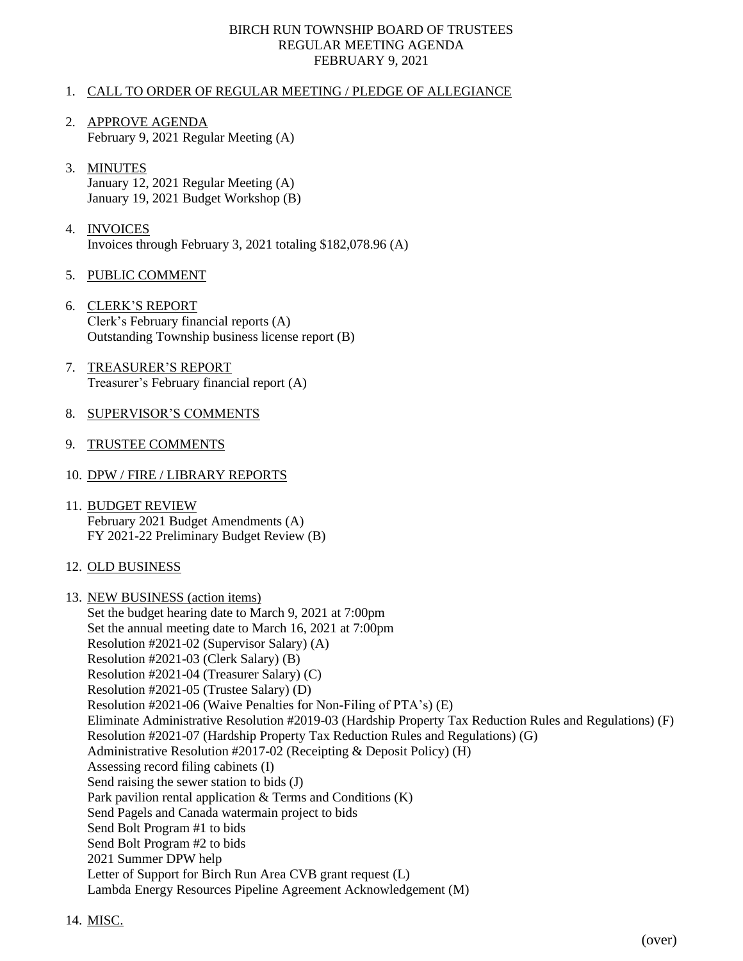#### BIRCH RUN TOWNSHIP BOARD OF TRUSTEES REGULAR MEETING AGENDA FEBRUARY 9, 2021

#### 1. CALL TO ORDER OF REGULAR MEETING / PLEDGE OF ALLEGIANCE

- 2. APPROVE AGENDA February 9, 2021 Regular Meeting (A)
- 3. MINUTES January 12, 2021 Regular Meeting (A) January 19, 2021 Budget Workshop (B)
- 4. INVOICES Invoices through February 3, 2021 totaling \$182,078.96 (A)
- 5. PUBLIC COMMENT
- 6. CLERK'S REPORT Clerk's February financial reports (A) Outstanding Township business license report (B)
- 7. TREASURER'S REPORT Treasurer's February financial report (A)
- 8. SUPERVISOR'S COMMENTS
- 9. TRUSTEE COMMENTS
- 10. DPW / FIRE / LIBRARY REPORTS
- 11. BUDGET REVIEW February 2021 Budget Amendments (A) FY 2021-22 Preliminary Budget Review (B)
- 12. OLD BUSINESS
- 13. NEW BUSINESS (action items) Set the budget hearing date to March 9, 2021 at 7:00pm Set the annual meeting date to March 16, 2021 at 7:00pm Resolution #2021-02 (Supervisor Salary) (A) Resolution #2021-03 (Clerk Salary) (B) Resolution #2021-04 (Treasurer Salary) (C) Resolution #2021-05 (Trustee Salary) (D) Resolution #2021-06 (Waive Penalties for Non-Filing of PTA's) (E) Eliminate Administrative Resolution #2019-03 (Hardship Property Tax Reduction Rules and Regulations) (F) Resolution #2021-07 (Hardship Property Tax Reduction Rules and Regulations) (G) Administrative Resolution #2017-02 (Receipting & Deposit Policy) (H) Assessing record filing cabinets (I) Send raising the sewer station to bids (J) Park pavilion rental application & Terms and Conditions (K) Send Pagels and Canada watermain project to bids Send Bolt Program #1 to bids Send Bolt Program #2 to bids 2021 Summer DPW help Letter of Support for Birch Run Area CVB grant request (L) Lambda Energy Resources Pipeline Agreement Acknowledgement (M)